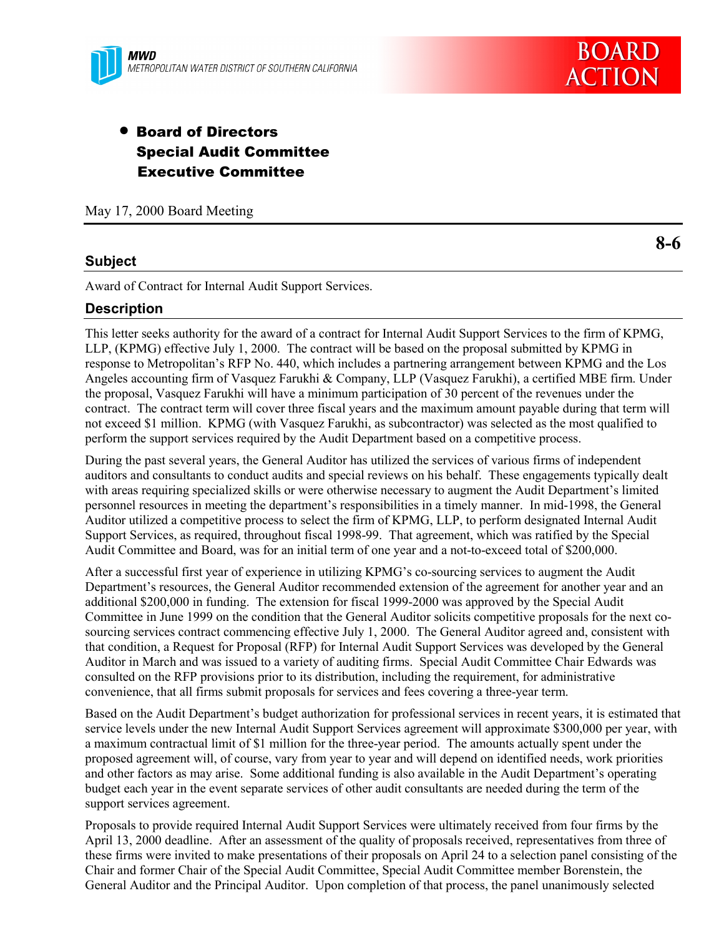# • Board of Directors Special Audit Committee Executive Committee

May 17, 2000 Board Meeting

## **Subject**

Award of Contract for Internal Audit Support Services.

#### **Description**

This letter seeks authority for the award of a contract for Internal Audit Support Services to the firm of KPMG, LLP, (KPMG) effective July 1, 2000. The contract will be based on the proposal submitted by KPMG in response to Metropolitan's RFP No. 440, which includes a partnering arrangement between KPMG and the Los Angeles accounting firm of Vasquez Farukhi & Company, LLP (Vasquez Farukhi), a certified MBE firm. Under the proposal, Vasquez Farukhi will have a minimum participation of 30 percent of the revenues under the contract. The contract term will cover three fiscal years and the maximum amount payable during that term will not exceed \$1 million. KPMG (with Vasquez Farukhi, as subcontractor) was selected as the most qualified to perform the support services required by the Audit Department based on a competitive process.

During the past several years, the General Auditor has utilized the services of various firms of independent auditors and consultants to conduct audits and special reviews on his behalf. These engagements typically dealt with areas requiring specialized skills or were otherwise necessary to augment the Audit Department's limited personnel resources in meeting the department's responsibilities in a timely manner. In mid-1998, the General Auditor utilized a competitive process to select the firm of KPMG, LLP, to perform designated Internal Audit Support Services, as required, throughout fiscal 1998-99. That agreement, which was ratified by the Special Audit Committee and Board, was for an initial term of one year and a not-to-exceed total of \$200,000.

After a successful first year of experience in utilizing KPMG's co-sourcing services to augment the Audit Department's resources, the General Auditor recommended extension of the agreement for another year and an additional \$200,000 in funding. The extension for fiscal 1999-2000 was approved by the Special Audit Committee in June 1999 on the condition that the General Auditor solicits competitive proposals for the next cosourcing services contract commencing effective July 1, 2000. The General Auditor agreed and, consistent with that condition, a Request for Proposal (RFP) for Internal Audit Support Services was developed by the General Auditor in March and was issued to a variety of auditing firms. Special Audit Committee Chair Edwards was consulted on the RFP provisions prior to its distribution, including the requirement, for administrative convenience, that all firms submit proposals for services and fees covering a three-year term.

Based on the Audit Department's budget authorization for professional services in recent years, it is estimated that service levels under the new Internal Audit Support Services agreement will approximate \$300,000 per year, with a maximum contractual limit of \$1 million for the three-year period. The amounts actually spent under the proposed agreement will, of course, vary from year to year and will depend on identified needs, work priorities and other factors as may arise. Some additional funding is also available in the Audit Department's operating budget each year in the event separate services of other audit consultants are needed during the term of the support services agreement.

Proposals to provide required Internal Audit Support Services were ultimately received from four firms by the April 13, 2000 deadline. After an assessment of the quality of proposals received, representatives from three of these firms were invited to make presentations of their proposals on April 24 to a selection panel consisting of the Chair and former Chair of the Special Audit Committee, Special Audit Committee member Borenstein, the General Auditor and the Principal Auditor. Upon completion of that process, the panel unanimously selected

**8-6**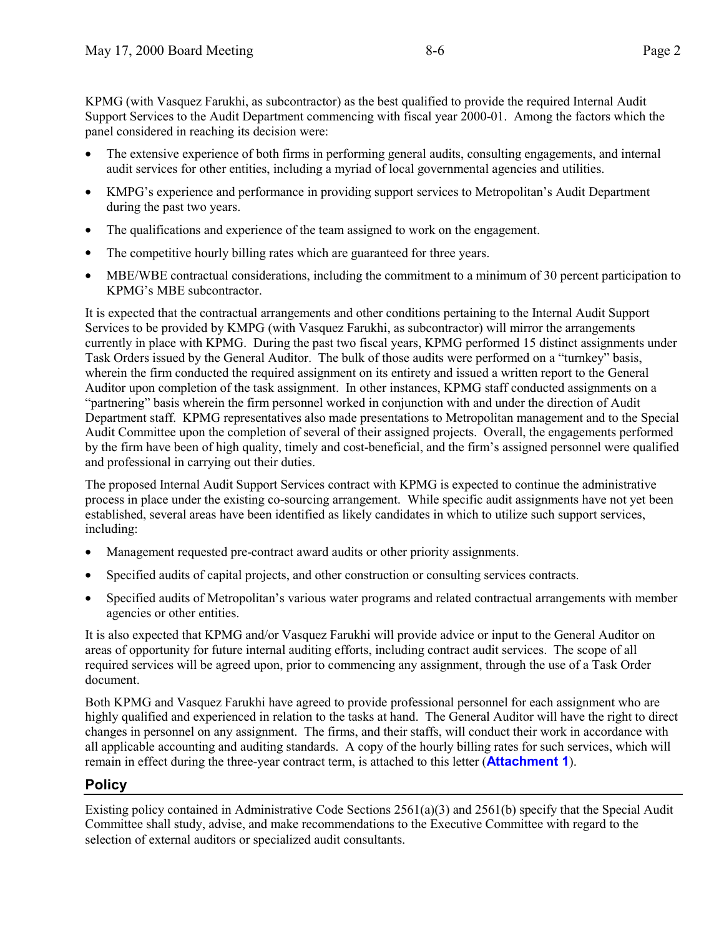KPMG (with Vasquez Farukhi, as subcontractor) as the best qualified to provide the required Internal Audit Support Services to the Audit Department commencing with fiscal year 2000-01. Among the factors which the panel considered in reaching its decision were:

- The extensive experience of both firms in performing general audits, consulting engagements, and internal audit services for other entities, including a myriad of local governmental agencies and utilities.
- KMPG's experience and performance in providing support services to Metropolitan's Audit Department during the past two years.
- The qualifications and experience of the team assigned to work on the engagement.
- The competitive hourly billing rates which are guaranteed for three years.
- MBE/WBE contractual considerations, including the commitment to a minimum of 30 percent participation to KPMG's MBE subcontractor.

It is expected that the contractual arrangements and other conditions pertaining to the Internal Audit Support Services to be provided by KMPG (with Vasquez Farukhi, as subcontractor) will mirror the arrangements currently in place with KPMG. During the past two fiscal years, KPMG performed 15 distinct assignments under Task Orders issued by the General Auditor. The bulk of those audits were performed on a "turnkey" basis, wherein the firm conducted the required assignment on its entirety and issued a written report to the General Auditor upon completion of the task assignment. In other instances, KPMG staff conducted assignments on a "partnering" basis wherein the firm personnel worked in conjunction with and under the direction of Audit Department staff. KPMG representatives also made presentations to Metropolitan management and to the Special Audit Committee upon the completion of several of their assigned projects. Overall, the engagements performed by the firm have been of high quality, timely and cost-beneficial, and the firm's assigned personnel were qualified and professional in carrying out their duties.

The proposed Internal Audit Support Services contract with KPMG is expected to continue the administrative process in place under the existing co-sourcing arrangement. While specific audit assignments have not yet been established, several areas have been identified as likely candidates in which to utilize such support services, including:

- Management requested pre-contract award audits or other priority assignments.
- Specified audits of capital projects, and other construction or consulting services contracts.
- Specified audits of Metropolitan's various water programs and related contractual arrangements with member agencies or other entities.

It is also expected that KPMG and/or Vasquez Farukhi will provide advice or input to the General Auditor on areas of opportunity for future internal auditing efforts, including contract audit services. The scope of all required services will be agreed upon, prior to commencing any assignment, through the use of a Task Order document.

Both KPMG and Vasquez Farukhi have agreed to provide professional personnel for each assignment who are highly qualified and experienced in relation to the tasks at hand. The General Auditor will have the right to direct changes in personnel on any assignment. The firms, and their staffs, will conduct their work in accordance with all applicable accounting and auditing standards. A copy of the hourly billing rates for such services, which will remain in effect during the three-year contract term, is attached to this letter (**Attachment 1**).

## **Policy**

Existing policy contained in Administrative Code Sections 2561(a)(3) and 2561(b) specify that the Special Audit Committee shall study, advise, and make recommendations to the Executive Committee with regard to the selection of external auditors or specialized audit consultants.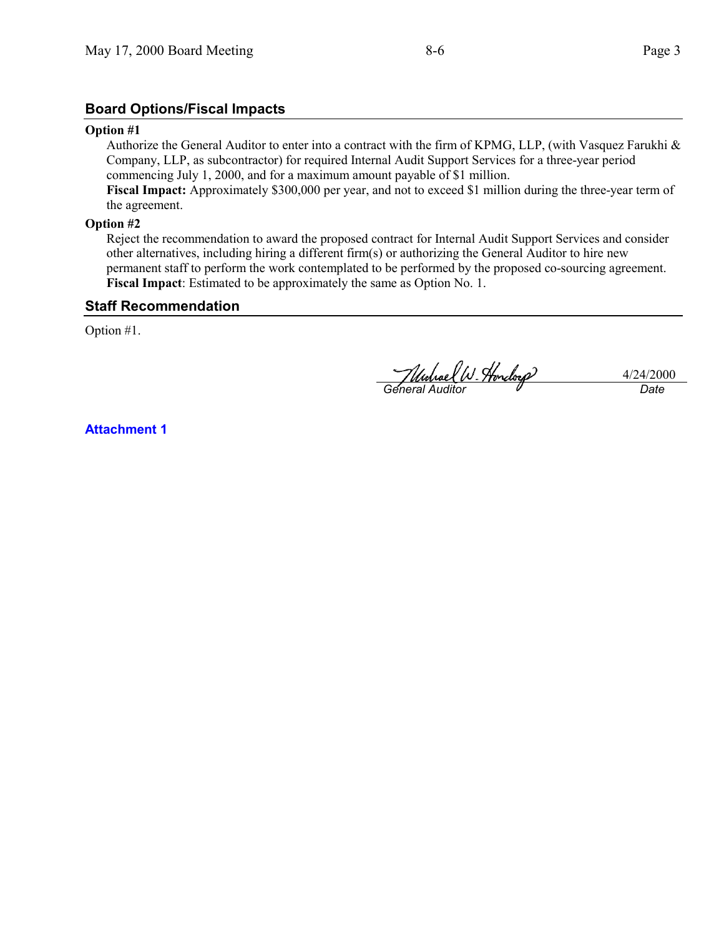## **Board Options/Fiscal Impacts**

#### **Option #1**

Authorize the General Auditor to enter into a contract with the firm of KPMG, LLP, (with Vasquez Farukhi & Company, LLP, as subcontractor) for required Internal Audit Support Services for a three-year period commencing July 1, 2000, and for a maximum amount payable of \$1 million.

**Fiscal Impact:** Approximately \$300,000 per year, and not to exceed \$1 million during the three-year term of the agreement.

#### **Option #2**

Reject the recommendation to award the proposed contract for Internal Audit Support Services and consider other alternatives, including hiring a different firm(s) or authorizing the General Auditor to hire new permanent staff to perform the work contemplated to be performed by the proposed co-sourcing agreement. **Fiscal Impact**: Estimated to be approximately the same as Option No. 1.

## **Staff Recommendation**

Option #1.

*General Auditor Date*

4/24/2000

**Attachment 1**